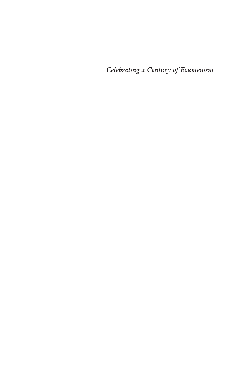*Celebrating a Century of Ecumenism*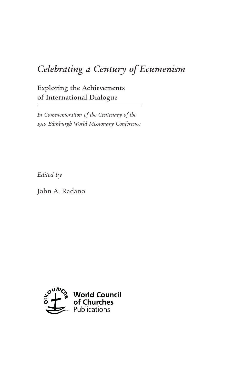# *Celebrating a Century of Ecumenism*

# Exploring the Achievements of International Dialogue

*In Commemoration of the Centenary of the 1910 Edinburgh World Missionary Conference*

*Edited by*

John A. Radano

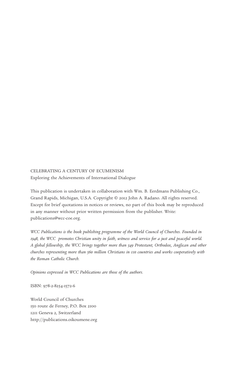CELEBRATING A CENTURY OF ECUMENISM Exploring the Achievements of International Dialogue

This publication is undertaken in collaboration with Wm. B. Eerdmans Publishing Co., Grand Rapids, Michigan, U.S.A. Copyright © 2012 John A. Radano. All rights reserved. Except for brief quotations in notices or reviews, no part of this book may be reproduced in any manner without prior written permission from the publisher. Write: publications@wcc-coe.org.

*WCC Publications is the book publishing programme of the World Council of Churches. Founded in 1948, the WCC promotes Christian unity in faith, witness and service for a just and peaceful world. A global fellowship, the WCC brings together more than 349 Protestant, Orthodox, Anglican and other churches representing more than 560 million Christians in 110 countries and works cooperatively with the Roman Catholic Church.*

*Opinions expressed in WCC Publications are those of the authors.*

ISBN: 978-2-8254-1572-6

World Council of Churches 150 route de Ferney, P.O. Box 2100 1211 Geneva 2, Switzerland http://publications.oikoumene.org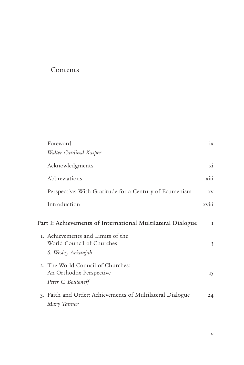# Contents

| Foreword                                                                              | ix    |
|---------------------------------------------------------------------------------------|-------|
| Walter Cardinal Kasper                                                                |       |
| Acknowledgments                                                                       | xi    |
| Abbreviations                                                                         | xiii  |
| Perspective: With Gratitude for a Century of Ecumenism                                | XV    |
| Introduction                                                                          | xviii |
| Part I: Achievements of International Multilateral Dialogue                           | I     |
| I. Achievements and Limits of the<br>World Council of Churches<br>S. Wesley Ariarajah | 3     |
| 2. The World Council of Churches:<br>An Orthodox Perspective<br>Peter C. Bouteneff    | 15    |
| 3. Faith and Order: Achievements of Multilateral Dialogue<br>Mary Tanner              | 24    |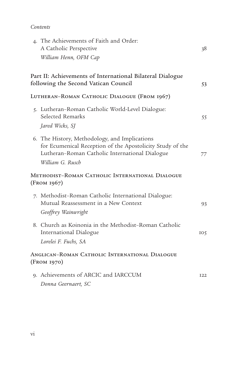| 4. The Achievements of Faith and Order:<br>A Catholic Perspective                                                                                                                | 38         |
|----------------------------------------------------------------------------------------------------------------------------------------------------------------------------------|------------|
| William Henn, OFM Cap                                                                                                                                                            |            |
| Part II: Achievements of International Bilateral Dialogue<br>following the Second Vatican Council                                                                                | 53         |
| LUTHERAN-ROMAN CATHOLIC DIALOGUE (FROM 1967)                                                                                                                                     |            |
| 5. Lutheran-Roman Catholic World-Level Dialogue:<br>Selected Remarks<br>Jared Wicks, SJ                                                                                          | 55         |
| 6. The History, Methodology, and Implications<br>for Ecumenical Reception of the Apostolicity Study of the<br>Lutheran-Roman Catholic International Dialogue<br>William G. Rusch | 77         |
| METHODIST-ROMAN CATHOLIC INTERNATIONAL DIALOGUE<br>(FROM 1967)                                                                                                                   |            |
| 7. Methodist-Roman Catholic International Dialogue:<br>Mutual Reassessment in a New Context<br>Geoffrey Wainwright                                                               | 93         |
| 8. Church as Koinonia in the Methodist-Roman Catholic<br>International Dialogue<br>Lorelei F. Fuchs, SA                                                                          | 105        |
| ANGLICAN-ROMAN CATHOLIC INTERNATIONAL DIALOGUE<br>(FROM 1970)                                                                                                                    |            |
| 9. Achievements of ARCIC and IARCCUM<br>Donna Geernaert, SC                                                                                                                      | <b>I22</b> |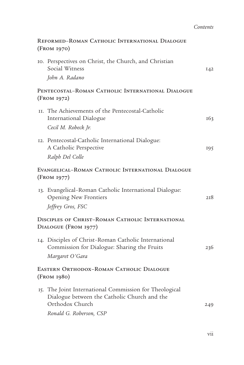| Contents |
|----------|
|----------|

|     | REFORMED-ROMAN CATHOLIC INTERNATIONAL DIALOGUE<br>(FROM 1970)                                                                                        |     |
|-----|------------------------------------------------------------------------------------------------------------------------------------------------------|-----|
|     | IO. Perspectives on Christ, the Church, and Christian<br>Social Witness<br>John A. Radano                                                            | 142 |
|     | PENTECOSTAL-ROMAN CATHOLIC INTERNATIONAL DIALOGUE<br>(FROM 1972)                                                                                     |     |
| II. | The Achievements of the Pentecostal-Catholic<br>International Dialogue<br>Cecil M. Robeck Jr.                                                        | 163 |
|     | 12. Pentecostal-Catholic International Dialogue:<br>A Catholic Perspective<br>Ralph Del Colle                                                        | 195 |
|     | EVANGELICAL-ROMAN CATHOLIC INTERNATIONAL DIALOGUE<br>(FROM 1977)                                                                                     |     |
|     | 13. Evangelical-Roman Catholic International Dialogue:<br>Opening New Frontiers<br>Jeffrey Gros, FSC                                                 | 2T8 |
|     | DISCIPLES OF CHRIST-ROMAN CATHOLIC INTERNATIONAL<br>DIALOGUE (FROM 1977)                                                                             |     |
|     | 14. Disciples of Christ-Roman Catholic International<br>Commission for Dialogue: Sharing the Fruits<br>Margaret O'Gara                               | 236 |
|     | EASTERN ORTHODOX-ROMAN CATHOLIC DIALOGUE<br>(FROM 1980)                                                                                              |     |
|     | 15. The Joint International Commission for Theological<br>Dialogue between the Catholic Church and the<br>Orthodox Church<br>Ronald G. Roberson, CSP | 249 |
|     |                                                                                                                                                      |     |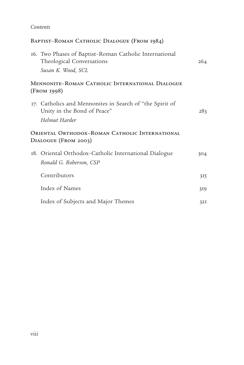### *Contents*

| BAPTIST-ROMAN CATHOLIC DIALOGUE (FROM 1984)                                                               |     |
|-----------------------------------------------------------------------------------------------------------|-----|
| 16. Two Phases of Baptist-Roman Catholic International<br>Theological Conversations<br>Susan K. Wood, SCL | 264 |
| <b>MENNONITE-ROMAN CATHOLIC INTERNATIONAL DIALOGUE</b><br>(FROM 1998)                                     |     |
| 17. Catholics and Mennonites in Search of "the Spirit of<br>Unity in the Bond of Peace"<br>Helmut Harder  | 283 |
| ORIENTAL ORTHODOX-ROMAN CATHOLIC INTERNATIONAL<br>DIALOGUE (FROM 2003)                                    |     |
| 18. Oriental Orthodox-Catholic International Dialogue<br>Ronald G. Roberson, CSP                          | 304 |
| Contributors                                                                                              | 315 |
| Index of Names                                                                                            | 319 |
| Index of Subjects and Major Themes                                                                        | 32I |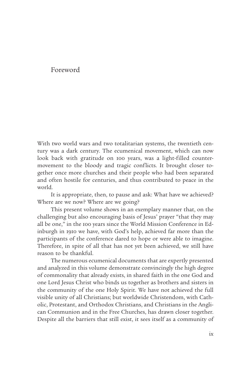### Foreword

With two world wars and two totalitarian systems, the twentieth century was a dark century. The ecumenical movement, which can now look back with gratitude on 100 years, was a light-filled countermovement to the bloody and tragic conflicts. It brought closer together once more churches and their people who had been separated and often hostile for centuries, and thus contributed to peace in the world.

It is appropriate, then, to pause and ask: What have we achieved? Where are we now? Where are we going?

This present volume shows in an exemplary manner that, on the challenging but also encouraging basis of Jesus' prayer "that they may all be one," in the 100 years since the World Mission Conference in Edinburgh in 1910 we have, with God's help, achieved far more than the participants of the conference dared to hope or were able to imagine. Therefore, in spite of all that has not yet been achieved, we still have reason to be thankful.

The numerous ecumenical documents that are expertly presented and analyzed in this volume demonstrate convincingly the high degree of commonality that already exists, in shared faith in the one God and one Lord Jesus Christ who binds us together as brothers and sisters in the community of the one Holy Spirit. We have not achieved the full visible unity of all Christians; but worldwide Christendom, with Catholic, Protestant, and Orthodox Christians, and Christians in the Anglican Communion and in the Free Churches, has drawn closer together. Despite all the barriers that still exist, it sees itself as a community of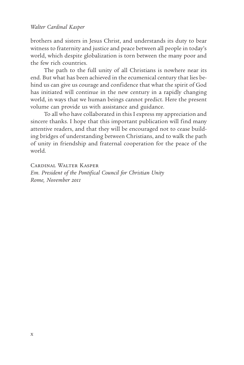#### *Walter Cardinal Kasper*

brothers and sisters in Jesus Christ, and understands its duty to bear witness to fraternity and justice and peace between all people in today's world, which despite globalization is torn between the many poor and the few rich countries.

The path to the full unity of all Christians is nowhere near its end. But what has been achieved in the ecumenical century that lies behind us can give us courage and confidence that what the spirit of God has initiated will continue in the new century in a rapidly changing world, in ways that we human beings cannot predict. Here the present volume can provide us with assistance and guidance.

To all who have collaborated in this I express my appreciation and sincere thanks. I hope that this important publication will find many attentive readers, and that they will be encouraged not to cease building bridges of understanding between Christians, and to walk the path of unity in friendship and fraternal cooperation for the peace of the world.

Cardinal Walter Kasper *Em. President of the Pontifical Council for Christian Unity Rome, November 2011*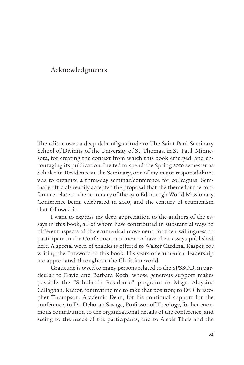### Acknowledgments

The editor owes a deep debt of gratitude to The Saint Paul Seminary School of Divinity of the University of St. Thomas, in St. Paul, Minnesota, for creating the context from which this book emerged, and encouraging its publication. Invited to spend the Spring 2010 semester as Scholar-in-Residence at the Seminary, one of my major responsibilities was to organize a three-day seminar/conference for colleagues. Seminary officials readily accepted the proposal that the theme for the conference relate to the centenary of the 1910 Edinburgh World Missionary Conference being celebrated in 2010, and the century of ecumenism that followed it.

I want to express my deep appreciation to the authors of the essays in this book, all of whom have contributed in substantial ways to different aspects of the ecumenical movement, for their willingness to participate in the Conference, and now to have their essays published here. A special word of thanks is offered to Walter Cardinal Kasper, for writing the Foreword to this book. His years of ecumenical leadership are appreciated throughout the Christian world.

Gratitude is owed to many persons related to the SPSSOD, in particular to David and Barbara Koch, whose generous support makes possible the "Scholar-in Residence" program; to Msgr. Aloysius Callaghan, Rector, for inviting me to take that position; to Dr. Christopher Thompson, Academic Dean, for his continual support for the conference; to Dr. Deborah Savage, Professor of Theology, for her enormous contribution to the organizational details of the conference, and seeing to the needs of the participants, and to Alexis Theis and the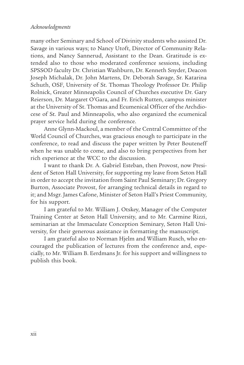### *Acknowledgments*

many other Seminary and School of Divinity students who assisted Dr. Savage in various ways; to Nancy Utoft, Director of Community Relations, and Nancy Sannerud, Assistant to the Dean. Gratitude is extended also to those who moderated conference sessions, including SPSSOD faculty Dr. Christian Washburn, Dr. Kenneth Snyder, Deacon Joseph Michalak, Dr. John Martens, Dr. Deborah Savage, Sr. Katarina Schuth, OSF, University of St. Thomas Theology Professor Dr. Philip Rolnick, Greater Minneapolis Council of Churches executive Dr. Gary Reierson, Dr. Margaret O'Gara, and Fr. Erich Rutten, campus minister at the University of St. Thomas and Ecumenical Officer of the Archdiocese of St. Paul and Minneapolis, who also organized the ecumenical prayer service held during the conference.

Anne Glynn-Mackoul, a member of the Central Committee of the World Council of Churches, was gracious enough to participate in the conference, to read and discuss the paper written by Peter Bouteneff when he was unable to come, and also to bring perspectives from her rich experience at the WCC to the discussion.

I want to thank Dr. A. Gabriel Esteban, then Provost, now President of Seton Hall University, for supporting my leave from Seton Hall in order to accept the invitation from Saint Paul Seminary; Dr. Gregory Burton, Associate Provost, for arranging technical details in regard to it; and Msgr. James Cafone, Minister of Seton Hall's Priest Community, for his support.

I am grateful to Mr. William J. Otskey, Manager of the Computer Training Center at Seton Hall University, and to Mr. Carmine Rizzi, seminarian at the Immaculate Conception Seminary, Seton Hall University, for their generous assistance in formatting the manuscript.

I am grateful also to Norman Hjelm and William Rusch, who encouraged the publication of lectures from the conference and, especially, to Mr. William B. Eerdmans Jr. for his support and willingness to publish this book.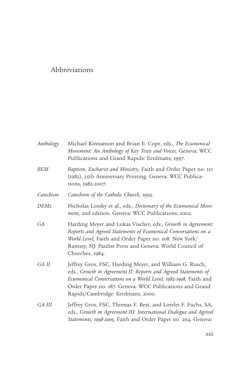# Abbreviations

| Anthology        | Michael Kinnamon and Brian E. Cope, eds., The Ecumenical<br>Movement: An Anthology of Key Texts and Voices. Geneva: WCC<br>Publications and Grand Rapids: Eerdmans, 1997.                                                                                                                    |
|------------------|----------------------------------------------------------------------------------------------------------------------------------------------------------------------------------------------------------------------------------------------------------------------------------------------|
| BEM              | Baptism, Eucharist and Ministry, Faith and Order Paper no. III<br>(1982), 25th Anniversary Printing. Geneva: WCC Publica-<br>tions, 1982-2007.                                                                                                                                               |
| Catechism        | Catechism of the Catholic Church, 1992.                                                                                                                                                                                                                                                      |
| DEM <sub>2</sub> | Nicholas Lossky et al., eds., Dictionary of the Ecumenical Move-<br>ment, 2nd edition. Geneva: WCC Publications, 2002.                                                                                                                                                                       |
| <b>GA</b>        | Harding Meyer and Lukas Vischer, eds., Growth in Agreement:<br>Reports and Agreed Statements of Ecumenical Conversations on a<br>World Level, Faith and Order Paper no. 108. New York/<br>Ramsey, NJ: Paulist Press and Geneva: World Council of<br>Churches, 1984.                          |
| GA II            | Jeffrey Gros, FSC, Harding Meyer, and William G. Rusch,<br>eds., Growth in Agreement II: Reports and Agreed Statements of<br>Ecumenical Conversations on a World Level, 1982-1998, Faith and<br>Order Paper no. 187. Geneva: WCC Publications and Grand<br>Rapids/Cambridge: Eerdmans, 2000. |
| GA III           | Jeffrey Gros, FSC, Thomas F. Best, and Lorelei F. Fuchs, SA,<br>eds., Growth in Agreement III: International Dialogue and Agreed<br>Statements, 1998-2005, Faith and Order Paper no. 204. Geneva:                                                                                            |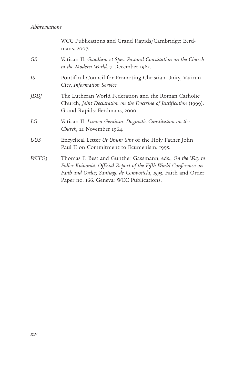|             | WCC Publications and Grand Rapids/Cambridge: Eerd-<br>mans, 2007.                                                                                                                                                                           |
|-------------|---------------------------------------------------------------------------------------------------------------------------------------------------------------------------------------------------------------------------------------------|
| GS          | Vatican II, Gaudium et Spes: Pastoral Constitution on the Church<br>in the Modern World, 7 December 1965.                                                                                                                                   |
| IS          | Pontifical Council for Promoting Christian Unity, Vatican<br>City, Information Service.                                                                                                                                                     |
| <i>JDDJ</i> | The Lutheran World Federation and the Roman Catholic<br>Church, Joint Declaration on the Doctrine of Justification (1999).<br>Grand Rapids: Eerdmans, 2000.                                                                                 |
| LG          | Vatican II, Lumen Gentium: Dogmatic Constitution on the<br>Church, 21 November 1964.                                                                                                                                                        |
| UUS         | Encyclical Letter Ut Unum Sint of the Holy Father John<br>Paul II on Commitment to Ecumenism, 1995.                                                                                                                                         |
| WCFO5       | Thomas F. Best and Günther Gassmann, eds., On the Way to<br>Fuller Koinonia: Official Report of the Fifth World Conference on<br>Faith and Order, Santiago de Compostela, 1993. Faith and Order<br>Paper no. 166. Geneva: WCC Publications. |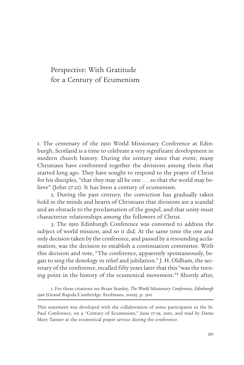## Perspective: With Gratitude for a Century of Ecumenism

1. The centenary of the 1910 World Missionary Conference at Edinburgh, Scotland is a time to celebrate a very significant development in modern church history. During the century since that event, many Christians have confronted together the divisions among them that started long ago. They have sought to respond to the prayer of Christ for his disciples, "that they may all be one . . . so that the world may believe" (John 17:21). It has been a century of ecumenism.

2. During the past century, the conviction has gradually taken hold in the minds and hearts of Christians that divisions are a scandal and an obstacle to the proclamation of the gospel, and that unity must characterize relationships among the followers of Christ.

3. The 1910 Edinburgh Conference was convened to address the subject of world mission, and so it did. At the same time the one and only decision taken by the conference, and passed by a resounding acclamation, was the decision to establish a continuation committee. With this decision and vote, "The conference, apparently spontaneously, began to sing the doxology in relief and jubilation." J. H. Oldham, the secretary of the conference, recalled fifty years later that this "was the turning point in the history of the ecumenical movement."<sup>1</sup> Shortly after,

1. For these citations see Brian Stanley, *The World Missionary Conference, Edinburgh 1910* (Grand Rapids/Cambridge: Eerdmans, 2009), p. 300.

This statement was developed with the collaboration of some participants in the St. Paul Conference, on a "Century of Ecumenism," June 17-19, 2010, and read by Dame Mary Tanner at the ecumenical prayer service during the conference.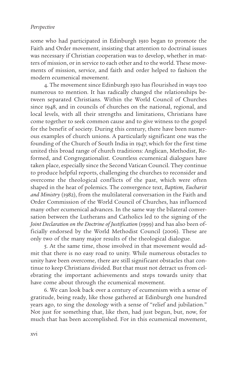#### *Perspective*

some who had participated in Edinburgh 1910 began to promote the Faith and Order movement, insisting that attention to doctrinal issues was necessary if Christian cooperation was to develop, whether in matters of mission, or in service to each other and to the world. These movements of mission, service, and faith and order helped to fashion the modern ecumenical movement.

4. The movement since Edinburgh 1910 has flourished in ways too numerous to mention. It has radically changed the relationships between separated Christians. Within the World Council of Churches since 1948, and in councils of churches on the national, regional, and local levels, with all their strengths and limitations, Christians have come together to seek common cause and to give witness to the gospel for the benefit of society. During this century, there have been numerous examples of church unions. A particularly significant one was the founding of the Church of South India in 1947, which for the first time united this broad range of church traditions: Anglican, Methodist, Reformed, and Congregationalist. Countless ecumenical dialogues have taken place, especially since the Second Vatican Council. They continue to produce helpful reports, challenging the churches to reconsider and overcome the theological conflicts of the past, which were often shaped in the heat of polemics. The convergence text, *Baptism, Eucharist and Ministry* (1982), from the multilateral conversation in the Faith and Order Commission of the World Council of Churches, has influenced many other ecumenical advances. In the same way the bilateral conversation between the Lutherans and Catholics led to the signing of the *Joint Declaration on the Doctrine of Justification* (1999) and has also been officially endorsed by the World Methodist Council (2006). These are only two of the many major results of the theological dialogue.

5. At the same time, those involved in that movement would admit that there is no easy road to unity. While numerous obstacles to unity have been overcome, there are still significant obstacles that continue to keep Christians divided. But that must not detract us from celebrating the important achievements and steps towards unity that have come about through the ecumenical movement.

6. We can look back over a century of ecumenism with a sense of gratitude, being ready, like those gathered at Edinburgh one hundred years ago, to sing the doxology with a sense of "relief and jubilation." Not just for something that, like then, had just begun, but, now, for much that has been accomplished. For in this ecumenical movement,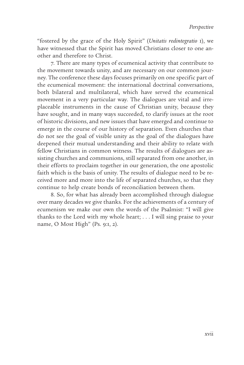"fostered by the grace of the Holy Spirit" (*Unitatis redintegratio* 1), we have witnessed that the Spirit has moved Christians closer to one another and therefore to Christ.

7. There are many types of ecumenical activity that contribute to the movement towards unity, and are necessary on our common journey. The conference these days focuses primarily on one specific part of the ecumenical movement: the international doctrinal conversations, both bilateral and multilateral, which have served the ecumenical movement in a very particular way. The dialogues are vital and irreplaceable instruments in the cause of Christian unity, because they have sought, and in many ways succeeded, to clarify issues at the root of historic divisions, and new issues that have emerged and continue to emerge in the course of our history of separation. Even churches that do not see the goal of visible unity as the goal of the dialogues have deepened their mutual understanding and their ability to relate with fellow Christians in common witness. The results of dialogues are assisting churches and communions, still separated from one another, in their efforts to proclaim together in our generation, the one apostolic faith which is the basis of unity. The results of dialogue need to be received more and more into the life of separated churches, so that they continue to help create bonds of reconciliation between them.

8. So, for what has already been accomplished through dialogue over many decades we give thanks. For the achievements of a century of ecumenism we make our own the words of the Psalmist: "I will give thanks to the Lord with my whole heart;  $\ldots$  I will sing praise to your name, O Most High" (Ps. 9:1, 2).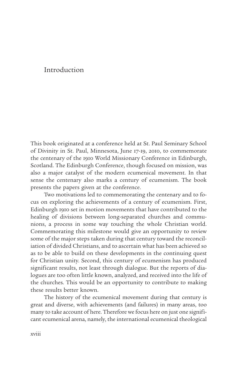### Introduction

This book originated at a conference held at St. Paul Seminary School of Divinity in St. Paul, Minnesota, June 17-19, 2010, to commemorate the centenary of the 1910 World Missionary Conference in Edinburgh, Scotland. The Edinburgh Conference, though focused on mission, was also a major catalyst of the modern ecumenical movement. In that sense the centenary also marks a century of ecumenism. The book presents the papers given at the conference.

Two motivations led to commemorating the centenary and to focus on exploring the achievements of a century of ecumenism. First, Edinburgh 1910 set in motion movements that have contributed to the healing of divisions between long-separated churches and communions, a process in some way touching the whole Christian world. Commemorating this milestone would give an opportunity to review some of the major steps taken during that century toward the reconciliation of divided Christians, and to ascertain what has been achieved so as to be able to build on these developments in the continuing quest for Christian unity. Second, this century of ecumenism has produced significant results, not least through dialogue. But the reports of dialogues are too often little known, analyzed, and received into the life of the churches. This would be an opportunity to contribute to making these results better known.

The history of the ecumenical movement during that century is great and diverse, with achievements (and failures) in many areas, too many to take account of here. Therefore we focus here on just one significant ecumenical arena, namely, the international ecumenical theological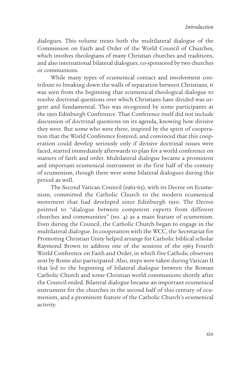dialogues. This volume treats both the multilateral dialogue of the Commission on Faith and Order of the World Council of Churches, which involves theologians of many Christian churches and traditions, and also international bilateral dialogues, co-sponsored by two churches or communions.

While many types of ecumenical contact and involvement contribute to breaking down the walls of separation between Christians, it was seen from the beginning that ecumenical theological dialogue to resolve doctrinal questions over which Christians have divided was urgent and fundamental. This was recognized by some participants at the 1910 Edinburgh Conference. That Conference itself did not include discussion of doctrinal questions on its agenda, knowing how divisive they were. But some who were there, inspired by the spirit of cooperation that the World Conference fostered, and convinced that this cooperation could develop seriously only if divisive doctrinal issues were faced, started immediately afterwards to plan for a world conference on matters of faith and order. Multilateral dialogue became a prominent and important ecumenical instrument in the first half of the century of ecumenism, though there were some bilateral dialogues during this period as well.

The Second Vatican Council (1962-65), with its Decree on Ecumenism, committed the Catholic Church to the modern ecumenical movement that had developed since Edinburgh 1910. The Decree pointed to "dialogue between competent experts from different churches and communities" (no. 4) as a main feature of ecumenism. Even during the Council, the Catholic Church began to engage in the multilateral dialogue. In cooperation with the WCC, the Secretariat for Promoting Christian Unity helped arrange for Catholic biblical scholar Raymond Brown to address one of the sessions of the 1963 Fourth World Conference on Faith and Order, in which five Catholic observers sent by Rome also participated. Also, steps were taken during Vatican II that led to the beginning of bilateral dialogue between the Roman Catholic Church and some Christian world communions shortly after the Council ended. Bilateral dialogue became an important ecumenical instrument for the churches in the second half of this century of ecumenism, and a prominent feature of the Catholic Church's ecumenical activity.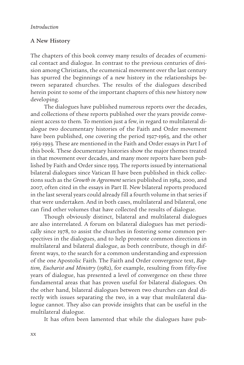### A New History

The chapters of this book convey many results of decades of ecumenical contact and dialogue. In contrast to the previous centuries of division among Christians, the ecumenical movement over the last century has spurred the beginnings of a new history in the relationships between separated churches. The results of the dialogues described herein point to some of the important chapters of this new history now developing.

The dialogues have published numerous reports over the decades, and collections of these reports published over the years provide convenient access to them. To mention just a few, in regard to multilateral dialogue two documentary histories of the Faith and Order movement have been published, one covering the period 1927-1963, and the other 1963-1993. These are mentioned in the Faith and Order essays in Part I of this book. These documentary histories show the major themes treated in that movement over decades, and many more reports have been published by Faith and Order since 1993. The reports issued by international bilateral dialogues since Vatican II have been published in thick collections such as the *Growth in Agreement* series published in 1984, 2000, and 2007, often cited in the essays in Part II. New bilateral reports produced in the last several years could already fill a fourth volume in that series if that were undertaken. And in both cases, multilateral and bilateral, one can find other volumes that have collected the results of dialogue.

Though obviously distinct, bilateral and multilateral dialogues are also interrelated. A forum on bilateral dialogues has met periodically since 1978, to assist the churches in fostering some common perspectives in the dialogues, and to help promote common directions in multilateral and bilateral dialogue, as both contribute, though in different ways, to the search for a common understanding and expression of the one Apostolic Faith. The Faith and Order convergence text, *Baptism, Eucharist and Ministry* (1982), for example, resulting from fifty-five years of dialogue, has presented a level of convergence on these three fundamental areas that has proven useful for bilateral dialogues. On the other hand, bilateral dialogues between two churches can deal directly with issues separating the two, in a way that multilateral dialogue cannot. They also can provide insights that can be useful in the multilateral dialogue.

It has often been lamented that while the dialogues have pub-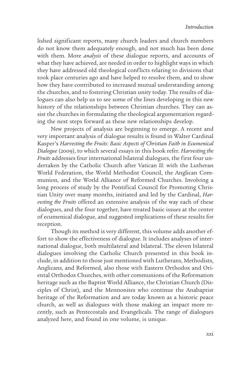lished significant reports, many church leaders and church members do not know them adequately enough, and not much has been done with them. More *analysis* of these dialogue reports, and accounts of what they have achieved, are needed in order to highlight ways in which they have addressed old theological conflicts relating to divisions that took place centuries ago and have helped to resolve them, and to show how they have contributed to increased mutual understanding among the churches, and to fostering Christian unity today. The results of dialogues can also help us to see some of the lines developing in this new history of the relationships between Christian churches. They can assist the churches in formulating the theological argumentation regarding the next steps forward as these new relationships develop.

New projects of analysis are beginning to emerge. A recent and very important analysis of dialogue results is found in Walter Cardinal Kasper's *Harvesting the Fruits: Basic Aspects of Christian Faith in Ecumenical Dialogue* (2009), to which several essays in this book refer. *Harvesting the Fruits* addresses four international bilateral dialogues, the first four undertaken by the Catholic Church after Vatican II: with the Lutheran World Federation, the World Methodist Council, the Anglican Communion, and the World Alliance of Reformed Churches. Involving a long process of study by the Pontifical Council for Promoting Christian Unity over many months, initiated and led by the Cardinal, *Harvesting the Fruits* offered an extensive analysis of the way each of these dialogues, and the four together, have treated basic issues at the center of ecumenical dialogue, and suggested implications of these results for reception.

Though its method is very different, this volume adds another effort to show the effectiveness of dialogue. It includes analyses of international dialogue, both multilateral and bilateral. The eleven bilateral dialogues involving the Catholic Church presented in this book include, in addition to those just mentioned with Lutherans, Methodists, Anglicans, and Reformed, also those with Eastern Orthodox and Oriental Orthodox Churches, with other communions of the Reformation heritage such as the Baptist World Alliance, the Christian Church (Disciples of Christ), and the Mennonites who continue the Anabaptist heritage of the Reformation and are today known as a historic peace church, as well as dialogues with those making an impact more recently, such as Pentecostals and Evangelicals. The range of dialogues analyzed here, and found in one volume, is unique.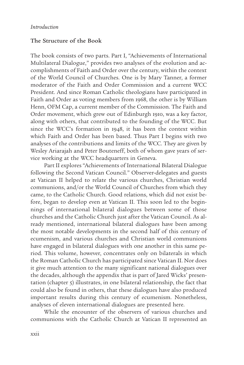### The Structure of the Book

The book consists of two parts. Part I, "Achievements of International Multilateral Dialogue," provides two analyses of the evolution and accomplishments of Faith and Order over the century, within the context of the World Council of Churches. One is by Mary Tanner, a former moderator of the Faith and Order Commission and a current WCC President. And since Roman Catholic theologians have participated in Faith and Order as voting members from 1968, the other is by William Henn, OFM Cap, a current member of the Commission. The Faith and Order movement, which grew out of Edinburgh 1910, was a key factor, along with others, that contributed to the founding of the WCC. But since the WCC's formation in 1948, it has been the context within which Faith and Order has been based. Thus Part I begins with two analyses of the contributions and limits of the WCC. They are given by Wesley Ariarajah and Peter Bouteneff, both of whom gave years of service working at the WCC headquarters in Geneva.

Part II explores "Achievements of International Bilateral Dialogue following the Second Vatican Council." Observer-delegates and guests at Vatican II helped to relate the various churches, Christian world communions, and/or the World Council of Churches from which they came, to the Catholic Church. Good relations, which did not exist before, began to develop even at Vatican II. This soon led to the beginnings of international bilateral dialogues between some of those churches and the Catholic Church just after the Vatican Council. As already mentioned, international bilateral dialogues have been among the most notable developments in the second half of this century of ecumenism, and various churches and Christian world communions have engaged in bilateral dialogues with one another in this same period. This volume, however, concentrates only on bilaterals in which the Roman Catholic Church has participated since Vatican II. Nor does it give much attention to the many significant national dialogues over the decades, although the appendix that is part of Jared Wicks' presentation (chapter 5) illustrates, in one bilateral relationship, the fact that could also be found in others, that these dialogues have also produced important results during this century of ecumenism. Nonetheless, analyses of eleven international dialogues are presented here.

While the encounter of the observers of various churches and communions with the Catholic Church at Vatican II represented an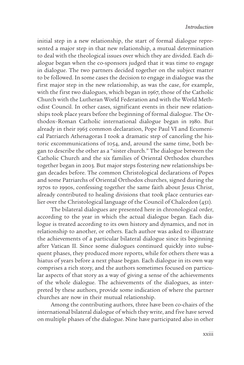initial step in a new relationship, the start of formal dialogue represented a major step in that new relationship, a mutual determination to deal with the theological issues over which they are divided. Each dialogue began when the co-sponsors judged that it was time to engage in dialogue. The two partners decided together on the subject matter to be followed. In some cases the decision to engage in dialogue was the first major step in the new relationship, as was the case, for example, with the first two dialogues, which began in 1967, those of the Catholic Church with the Lutheran World Federation and with the World Methodist Council. In other cases, significant events in their new relationships took place years before the beginning of formal dialogue. The Orthodox–Roman Catholic international dialogue began in 1980. But already in their 1965 common declaration, Pope Paul VI and Ecumenical Patriarch Athenagoras I took a dramatic step of canceling the historic excommunications of 1054, and, around the same time, both began to describe the other as a "sister church." The dialogue between the Catholic Church and the six families of Oriental Orthodox churches together began in 2003. But major steps fostering new relationships began decades before. The common Christological declarations of Popes and some Patriarchs of Oriental Orthodox churches, signed during the 1970s to 1990s, confessing together the same faith about Jesus Christ, already contributed to healing divisions that took place centuries earlier over the Christological language of the Council of Chalcedon (451).

The bilateral dialogues are presented here in chronological order, according to the year in which the actual dialogue began. Each dialogue is treated according to its own history and dynamics, and not in relationship to another, or others. Each author was asked to illustrate the achievements of a particular bilateral dialogue since its beginning after Vatican II. Since some dialogues continued quickly into subsequent phases, they produced more reports, while for others there was a hiatus of years before a next phase began. Each dialogue in its own way comprises a rich story, and the authors sometimes focused on particular aspects of that story as a way of giving a sense of the achievements of the whole dialogue. The achievements of the dialogues, as interpreted by these authors, provide some indication of where the partner churches are now in their mutual relationship.

Among the contributing authors, three have been co-chairs of the international bilateral dialogue of which they write, and five have served on multiple phases of the dialogue. Nine have participated also in other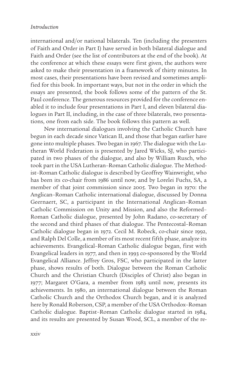#### *Introduction*

international and/or national bilaterals. Ten (including the presenters of Faith and Order in Part I) have served in both bilateral dialogue and Faith and Order (see the list of contributors at the end of the book). At the conference at which these essays were first given, the authors were asked to make their presentation in a framework of thirty minutes. In most cases, their presentations have been revised and sometimes amplified for this book. In important ways, but not in the order in which the essays are presented, the book follows some of the pattern of the St. Paul conference. The generous resources provided for the conference enabled it to include four presentations in Part I, and eleven bilateral dialogues in Part II, including, in the case of three bilaterals, two presentations, one from each side. The book follows this pattern as well.

New international dialogues involving the Catholic Church have begun in each decade since Vatican II, and those that began earlier have gone into multiple phases. Two began in 1967. The dialogue with the Lutheran World Federation is presented by Jared Wicks, SJ, who participated in two phases of the dialogue, and also by William Rusch, who took part in the USA Lutheran–Roman Catholic dialogue. The Methodist–Roman Catholic dialogue is described by Geoffrey Wainwright, who has been its co-chair from 1986 until now, and by Lorelei Fuchs, SA, a member of that joint commission since 2005. Two began in 1970: the Anglican–Roman Catholic international dialogue, discussed by Donna Geernaert, SC, a participant in the International Anglican–Roman Catholic Commission on Unity and Mission, and also the Reformed– Roman Catholic dialogue, presented by John Radano, co-secretary of the second and third phases of that dialogue. The Pentecostal–Roman Catholic dialogue began in 1972. Cecil M. Robeck, co-chair since 1992, and Ralph Del Colle, a member of its most recent fifth phase, analyze its achievements. Evangelical–Roman Catholic dialogue began, first with Evangelical leaders in 1977, and then in 1993 co-sponsored by the World Evangelical Alliance. Jeffrey Gros, FSC, who participated in the latter phase, shows results of both. Dialogue between the Roman Catholic Church and the Christian Church (Disciples of Christ) also began in 1977; Margaret O'Gara, a member from 1983 until now, presents its achievements. In 1980, an international dialogue between the Roman Catholic Church and the Orthodox Church began, and it is analyzed here by Ronald Roberson, CSP, a member of the USA Orthodox–Roman Catholic dialogue. Baptist–Roman Catholic dialogue started in 1984, and its results are presented by Susan Wood, SCL, a member of the re